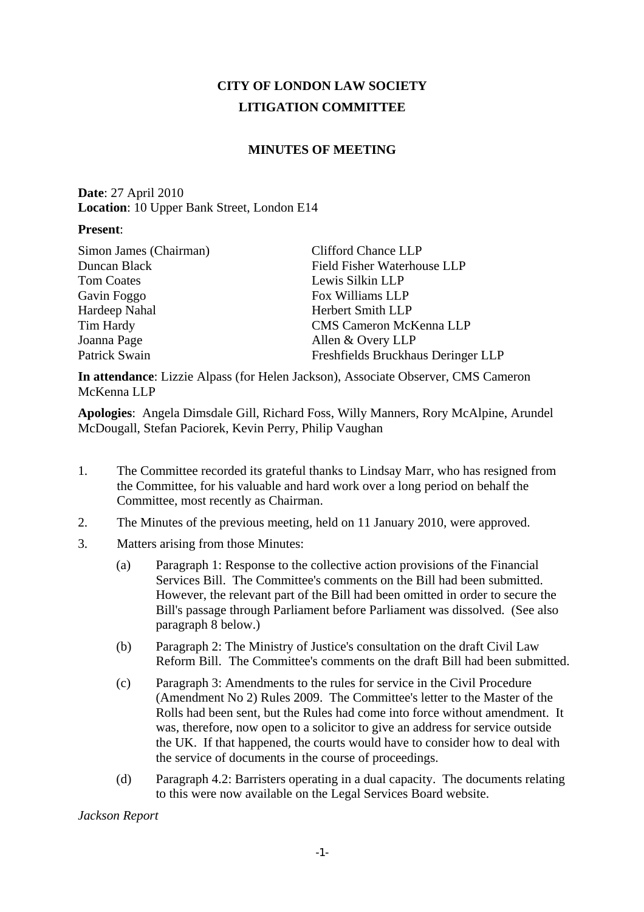# **CITY OF LONDON LAW SOCIETY LITIGATION COMMITTEE**

## **MINUTES OF MEETING**

**Date**: 27 April 2010 **Location**: 10 Upper Bank Street, London E14

#### **Present**:

| Simon James (Chairman) | <b>Clifford Chance LLP</b>         |
|------------------------|------------------------------------|
| Duncan Black           | Field Fisher Waterhouse LLP        |
| Tom Coates             | Lewis Silkin LLP                   |
| Gavin Foggo            | Fox Williams LLP                   |
| Hardeep Nahal          | <b>Herbert Smith LLP</b>           |
| Tim Hardy              | <b>CMS Cameron McKenna LLP</b>     |
| Joanna Page            | Allen & Overy LLP                  |
| Patrick Swain          | Freshfields Bruckhaus Deringer LLP |
|                        |                                    |

**In attendance**: Lizzie Alpass (for Helen Jackson), Associate Observer, CMS Cameron McKenna LLP

**Apologies**: Angela Dimsdale Gill, Richard Foss, Willy Manners, Rory McAlpine, Arundel McDougall, Stefan Paciorek, Kevin Perry, Philip Vaughan

- 1. The Committee recorded its grateful thanks to Lindsay Marr, who has resigned from the Committee, for his valuable and hard work over a long period on behalf the Committee, most recently as Chairman.
- 2. The Minutes of the previous meeting, held on 11 January 2010, were approved.
- 3. Matters arising from those Minutes:
	- (a) Paragraph 1: Response to the collective action provisions of the Financial Services Bill. The Committee's comments on the Bill had been submitted. However, the relevant part of the Bill had been omitted in order to secure the Bill's passage through Parliament before Parliament was dissolved. (See also paragraph 8 below.)
	- (b) Paragraph 2: The Ministry of Justice's consultation on the draft Civil Law Reform Bill. The Committee's comments on the draft Bill had been submitted.
	- (c) Paragraph 3: Amendments to the rules for service in the Civil Procedure (Amendment No 2) Rules 2009. The Committee's letter to the Master of the Rolls had been sent, but the Rules had come into force without amendment. It was, therefore, now open to a solicitor to give an address for service outside the UK. If that happened, the courts would have to consider how to deal with the service of documents in the course of proceedings.
	- (d) Paragraph 4.2: Barristers operating in a dual capacity. The documents relating to this were now available on the Legal Services Board website.

*Jackson Report*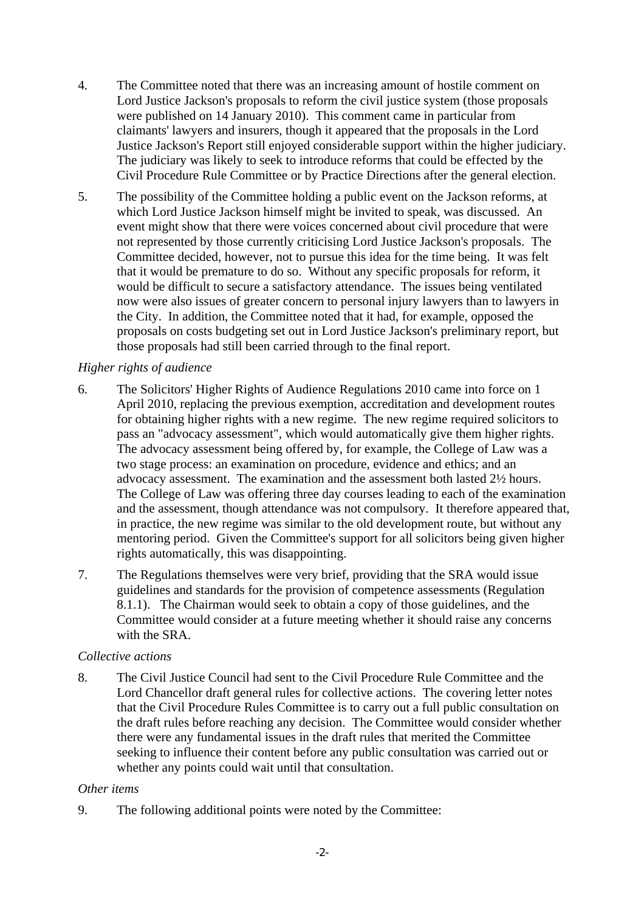- 4. The Committee noted that there was an increasing amount of hostile comment on Lord Justice Jackson's proposals to reform the civil justice system (those proposals were published on 14 January 2010). This comment came in particular from claimants' lawyers and insurers, though it appeared that the proposals in the Lord Justice Jackson's Report still enjoyed considerable support within the higher judiciary. The judiciary was likely to seek to introduce reforms that could be effected by the Civil Procedure Rule Committee or by Practice Directions after the general election.
- 5. The possibility of the Committee holding a public event on the Jackson reforms, at which Lord Justice Jackson himself might be invited to speak, was discussed. An event might show that there were voices concerned about civil procedure that were not represented by those currently criticising Lord Justice Jackson's proposals. The Committee decided, however, not to pursue this idea for the time being. It was felt that it would be premature to do so. Without any specific proposals for reform, it would be difficult to secure a satisfactory attendance. The issues being ventilated now were also issues of greater concern to personal injury lawyers than to lawyers in the City. In addition, the Committee noted that it had, for example, opposed the proposals on costs budgeting set out in Lord Justice Jackson's preliminary report, but those proposals had still been carried through to the final report.

## *Higher rights of audience*

- 6. The Solicitors' Higher Rights of Audience Regulations 2010 came into force on 1 April 2010, replacing the previous exemption, accreditation and development routes for obtaining higher rights with a new regime. The new regime required solicitors to pass an "advocacy assessment", which would automatically give them higher rights. The advocacy assessment being offered by, for example, the College of Law was a two stage process: an examination on procedure, evidence and ethics; and an advocacy assessment. The examination and the assessment both lasted 2½ hours. The College of Law was offering three day courses leading to each of the examination and the assessment, though attendance was not compulsory. It therefore appeared that, in practice, the new regime was similar to the old development route, but without any mentoring period. Given the Committee's support for all solicitors being given higher rights automatically, this was disappointing.
- 7. The Regulations themselves were very brief, providing that the SRA would issue guidelines and standards for the provision of competence assessments (Regulation 8.1.1). The Chairman would seek to obtain a copy of those guidelines, and the Committee would consider at a future meeting whether it should raise any concerns with the SRA.

## *Collective actions*

8. The Civil Justice Council had sent to the Civil Procedure Rule Committee and the Lord Chancellor draft general rules for collective actions. The covering letter notes that the Civil Procedure Rules Committee is to carry out a full public consultation on the draft rules before reaching any decision. The Committee would consider whether there were any fundamental issues in the draft rules that merited the Committee seeking to influence their content before any public consultation was carried out or whether any points could wait until that consultation.

#### *Other items*

9. The following additional points were noted by the Committee: